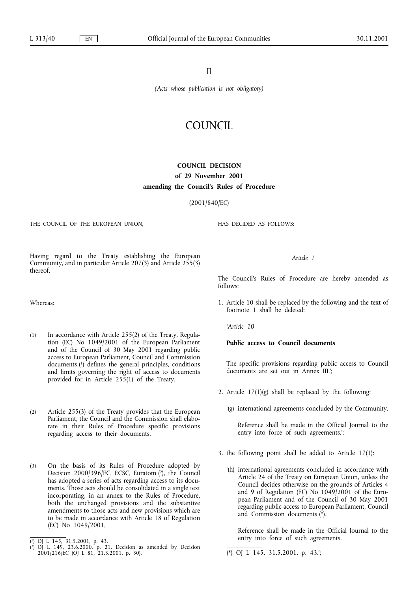II

*(Acts whose publication is not obligatory)*

# COUNCIL

# **COUNCIL DECISION of 29 November 2001** amending the Council's Rules of Procedure

(2001/840/EC)

THE COUNCIL OF THE EUROPEAN UNION,

HAS DECIDED AS FOLLOWS:

Having regard to the Treaty establishing the European Community, and in particular Article 207(3) and Article 255(3) thereof,

Whereas:

- (1) In accordance with Article 255(2) of the Treaty, Regulation (EC) No 1049/2001 of the European Parliament and of the Council of 30 May 2001 regarding public access to European Parliament, Council and Commission documents (1) defines the general principles, conditions and limits governing the right of access to documents provided for in Article 255(1) of the Treaty.
- (2) Article 255(3) of the Treaty provides that the European Parliament, the Council and the Commission shall elaborate in their Rules of Procedure specific provisions regarding access to their documents.
- (3) On the basis of its Rules of Procedure adopted by Decision 2000/396/EC, ECSC, Euratom (2), the Council has adopted a series of acts regarding access to its documents. Those acts should be consolidated in a single text incorporating, in an annex to the Rules of Procedure, both the unchanged provisions and the substantive amendments to those acts and new provisions which are to be made in accordance with Article 18of Regulation (EC) No 1049/2001,

*Article 1*

The Council's Rules of Procedure are hereby amended as follows:

1. Article 10 shall be replaced by the following and the text of footnote 1 shall be deleted:

*'Article 10*

**Public access to Council documents**

The specific provisions regarding public access to Council documents are set out in Annex III.';

- 2. Article  $17(1)(g)$  shall be replaced by the following:
	- '(g) international agreements concluded by the Community.

Reference shall be made in the Official Journal to the entry into force of such agreements.';

- 3. the following point shall be added to Article 17(1):
	- '(h) international agreements concluded in accordance with Article 24 of the Treaty on European Union, unless the Council decides otherwise on the grounds of Articles 4 and 9 of Regulation (EC) No 1049/2001 of the European Parliament and of the Council of 30 May 2001 regarding public access to European Parliament, Council and Commission documents (\*).

Reference shall be made in the Official Journal to the entry into force of such agreements.

(\*) OJ L 145, 31.5.2001, p. 43.';

<sup>(</sup> 1) OJ L 145, 31.5.2001, p. 43.

<sup>(</sup> 2) OJ L 149, 23.6.2000, p. 21. Decision as amended by Decision 2001/216/EC (OJ L 81, 21.3.2001, p. 30).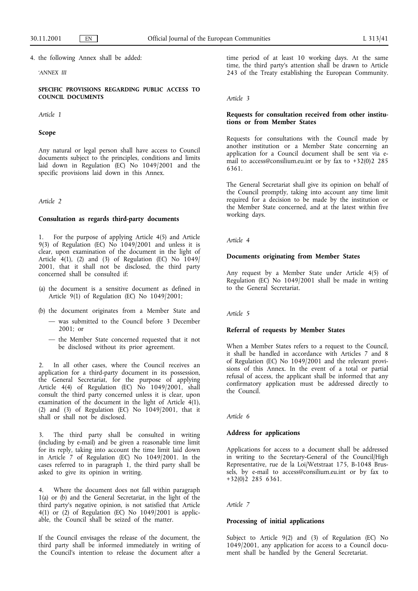4. the following Annex shall be added:

#### *'ANNEX III*

**SPECIFIC PROVISIONS REGARDING PUBLIC ACCESS TO COUNCIL DOCUMENTS**

*Article 1*

#### **Scope**

Any natural or legal person shall have access to Council documents subject to the principles, conditions and limits laid down in Regulation (EC) No 1049/2001 and the specific provisions laid down in this Annex.

#### *Article 2*

#### **Consultation as regards third-party documents**

1. For the purpose of applying Article 4(5) and Article 9(3) of Regulation (EC) No 1049/2001 and unless it is clear, upon examination of the document in the light of Article  $4(1)$ , (2) and (3) of Regulation (EC) No  $1049/$ 2001, that it shall not be disclosed, the third party concerned shall be consulted if:

- (a) the document is a sensitive document as defined in Article 9(1) of Regulation (EC) No 1049/2001;
- (b) the document originates from a Member State and
	- was submitted to the Council before 3 December 2001; or
	- the Member State concerned requested that it not be disclosed without its prior agreement.

In all other cases, where the Council receives an application for a third-party document in its possession, the General Secretariat, for the purpose of applying Article 4(4) of Regulation (EC) No 1049/2001, shall consult the third party concerned unless it is clear, upon examination of the document in the light of Article  $4(1)$ , (2) and (3) of Regulation (EC) No 1049/2001, that it shall or shall not be disclosed.

The third party shall be consulted in writing (including by e-mail) and be given a reasonable time limit for its reply, taking into account the time limit laid down in Article 7 of Regulation (EC) No 1049/2001. In the cases referred to in paragraph 1, the third party shall be asked to give its opinion in writing.

4. Where the document does not fall within paragraph 1(a) or (b) and the General Secretariat, in the light of the third party's negative opinion, is not satisfied that Article 4(1) or (2) of Regulation (EC) No 1049/2001 is applicable, the Council shall be seized of the matter.

If the Council envisages the release of the document, the third party shall be informed immediately in writing of the Council's intention to release the document after a time period of at least 10 working days. At the same time, the third party's attention shall be drawn to Article 243 of the Treaty establishing the European Community.

#### *Article 3*

#### **Requests for consultation received from other institu**tions or from Member States

Requests for consultations with the Council made by another institution or a Member State concerning an application for a Council document shall be sent via email to access@consilium.eu.int or by fax to +32(0)2 285 6361.

The General Secretariat shall give its opinion on behalf of the Council promptly, taking into account any time limit required for a decision to be made by the institution or the Member State concerned, and at the latest within five working days.

*Article 4*

# **Documents originating from Member States**

Any request by a Member State under Article 4(5) of Regulation (EC) No 1049/2001 shall be made in writing to the General Secretariat.

*Article 5*

#### **Referral of requests by Member States**

When a Member States refers to a request to the Council, it shall be handled in accordance with Articles 7 and 8 of Regulation (EC) No 1049/2001 and the relevant provisions of this Annex. In the event of a total or partial refusal of access, the applicant shall be informed that any confirmatory application must be addressed directly to the Council.

*Article 6*

#### **Address for applications**

Applications for access to a document shall be addressed in writing to the Secretary-General of the Council/High Representative, rue de la Loi/Wetstraat 175, B-1048 Brussels, by e-mail to access@consilium.eu.int or by fax to  $+32(0)2$  285 6361.

*Article 7*

#### **Processing of initial applications**

Subject to Article 9(2) and (3) of Regulation (EC) No 1049/2001, any application for access to a Council document shall be handled by the General Secretariat.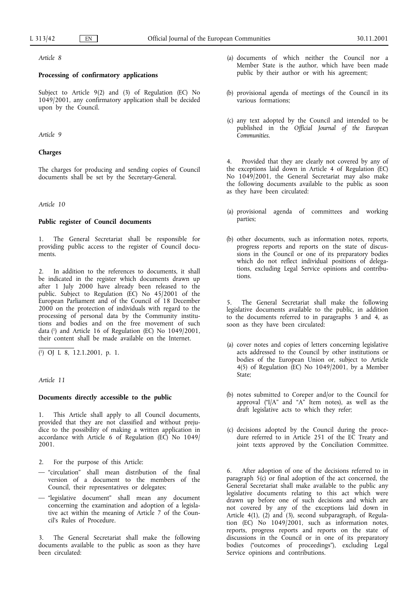*Article 8*

# **Processing of confirmatory applications**

Subject to Article 9(2) and (3) of Regulation (EC) No 1049/2001, any confirmatory application shall be decided upon by the Council.

## *Article 9*

## **Charges**

The charges for producing and sending copies of Council documents shall be set by the Secretary-General.

*Article 10*

#### **Public register of Council documents**

The General Secretariat shall be responsible for providing public access to the register of Council documents.

In addition to the references to documents, it shall be indicated in the register which documents drawn up after 1 July 2000 have already been released to the public. Subject to Regulation (EC) No 45/2001 of the European Parliament and of the Council of 18 December 2000 on the protection of individuals with regard to the processing of personal data by the Community institutions and bodies and on the free movement of such data (1) and Article 16 of Regulation (EC) No 1049/2001, their content shall be made available on the Internet.

( 1) OJ L 8, 12.1.2001, p. 1.

*Article 11*

#### **Documents directly accessible to the public**

1. This Article shall apply to all Council documents, provided that they are not classified and without prejudice to the possibility of making a written application in accordance with Article 6 of Regulation (EC) No 1049/ 2001.

- 2. For the purpose of this Article:
- "circulation" shall mean distribution of the final version of a document to the members of the Council, their representatives or delegates;
- "legislative document" shall mean any document concerning the examination and adoption of a legislative act within the meaning of Article 7 of the Council's Rules of Procedure.

The General Secretariat shall make the following documents available to the public as soon as they have been circulated:

- (a) documents of which neither the Council nor a Member State is the author, which have been made public by their author or with his agreement;
- (b) provisional agenda of meetings of the Council in its various formations;
- (c) any text adopted by the Council and intended to be published in the *Official Journal of the European Communities*.

4. Provided that they are clearly not covered by any of the exceptions laid down in Article 4 of Regulation (EC) No 1049/2001, the General Secretariat may also make the following documents available to the public as soon as they have been circulated:

- (a) provisional agenda of committees and working parties;
- (b) other documents, such as information notes, reports, progress reports and reports on the state of discussions in the Council or one of its preparatory bodies which do not reflect individual positions of delegations, excluding Legal Service opinions and contributions.

5. The General Secretariat shall make the following legislative documents available to the public, in addition to the documents referred to in paragraphs 3 and 4, as soon as they have been circulated:

- (a) cover notes and copies of letters concerning legislative acts addressed to the Council by other institutions or bodies of the European Union or, subject to Article 4(5) of Regulation (EC) No 1049/2001, by a Member State;
- (b) notes submitted to Coreper and/or to the Council for approval ("I/A" and "A" Item notes), as well as the draft legislative acts to which they refer;
- (c) decisions adopted by the Council during the procedure referred to in Article 251 of the EC Treaty and joint texts approved by the Conciliation Committee.

6. After adoption of one of the decisions referred to in paragraph  $5(c)$  or final adoption of the act concerned, the General Secretariat shall make available to the public any legislative documents relating to this act which were drawn up before one of such decisions and which are not covered by any of the exceptions laid down in Article 4(1), (2) and (3), second subparagraph, of Regulation (EC) No 1049/2001, such as information notes, reports, progress reports and reports on the state of discussions in the Council or in one of its preparatory bodies ("outcomes of proceedings"), excluding Legal Service opinions and contributions.